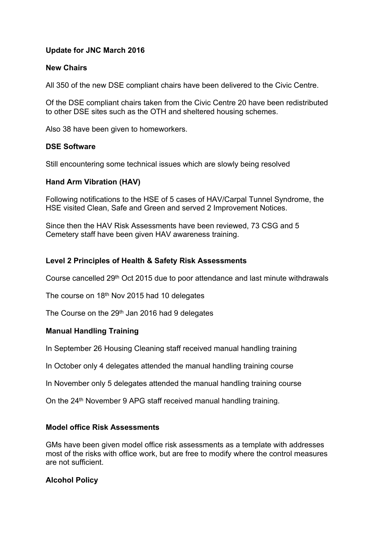# **Update for JNC March 2016**

## **New Chairs**

All 350 of the new DSE compliant chairs have been delivered to the Civic Centre.

Of the DSE compliant chairs taken from the Civic Centre 20 have been redistributed to other DSE sites such as the OTH and sheltered housing schemes.

Also 38 have been given to homeworkers.

### **DSE Software**

Still encountering some technical issues which are slowly being resolved

### **Hand Arm Vibration (HAV)**

Following notifications to the HSE of 5 cases of HAV/Carpal Tunnel Syndrome, the HSE visited Clean, Safe and Green and served 2 Improvement Notices.

Since then the HAV Risk Assessments have been reviewed, 73 CSG and 5 Cemetery staff have been given HAV awareness training.

## **Level 2 Principles of Health & Safety Risk Assessments**

Course cancelled 29th Oct 2015 due to poor attendance and last minute withdrawals

The course on 18<sup>th</sup> Nov 2015 had 10 delegates

The Course on the 29<sup>th</sup> Jan 2016 had 9 delegates

# **Manual Handling Training**

In September 26 Housing Cleaning staff received manual handling training

In October only 4 delegates attended the manual handling training course

In November only 5 delegates attended the manual handling training course

On the 24<sup>th</sup> November 9 APG staff received manual handling training.

### **Model office Risk Assessments**

GMs have been given model office risk assessments as a template with addresses most of the risks with office work, but are free to modify where the control measures are not sufficient.

### **Alcohol Policy**